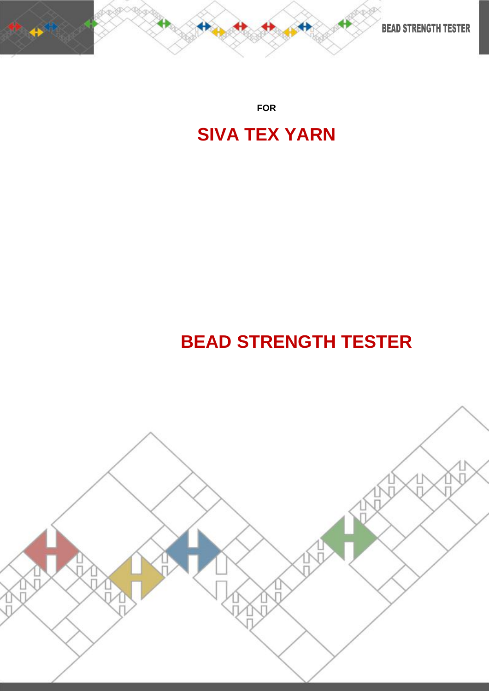

**FOR**

## **SIVA TEX YARN**

# **BEAD STRENGTH TESTER**

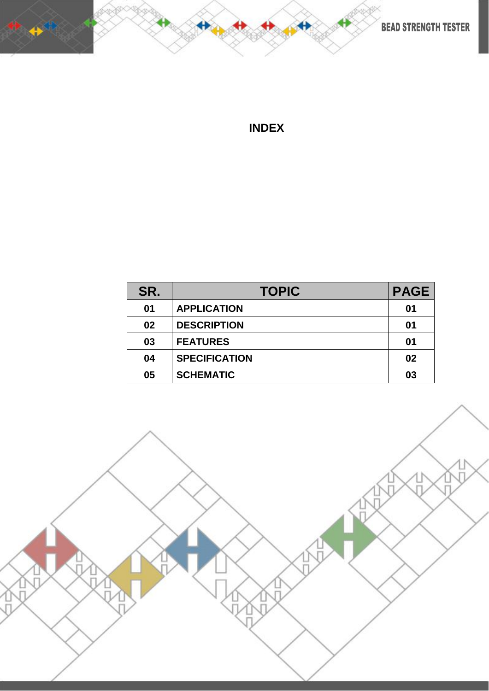

**BEAD STRENGTH TESTER** 

## **INDEX**

| SR. | <b>TOPIC</b>         | <b>PAGE</b> |
|-----|----------------------|-------------|
| 01  | <b>APPLICATION</b>   | 01          |
| 02  | <b>DESCRIPTION</b>   | 01          |
| 03  | <b>FEATURES</b>      | 01          |
| 04  | <b>SPECIFICATION</b> | 02          |
| 05  | <b>SCHEMATIC</b>     | 03          |

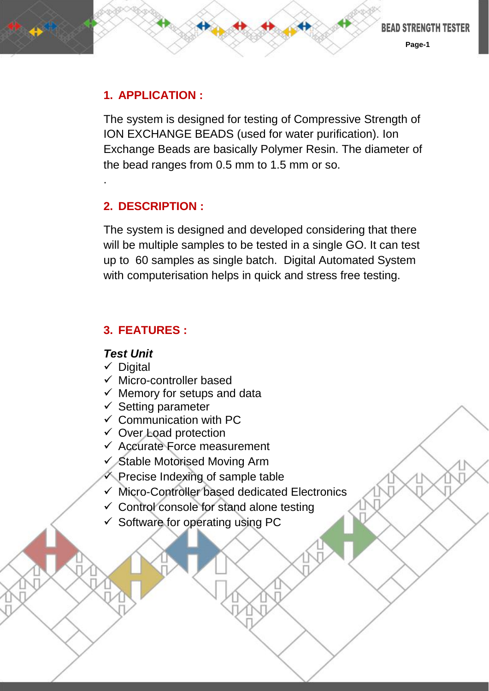### **1. APPLICATION :**

The system is designed for testing of Compressive Strength of ION EXCHANGE BEADS (used for water purification). Ion Exchange Beads are basically Polymer Resin. The diameter of the bead ranges from 0.5 mm to 1.5 mm or so.

## **2. DESCRIPTION :**

.

The system is designed and developed considering that there will be multiple samples to be tested in a single GO. It can test up to 60 samples as single batch. Digital Automated System with computerisation helps in quick and stress free testing.

## **3. FEATURES :**

#### *Test Unit*

- $\checkmark$  Digital
- $\checkmark$  Micro-controller based
- $\checkmark$  Memory for setups and data
- $\checkmark$  Setting parameter
- $\checkmark$  Communication with PC
- $\checkmark$  Over Load protection
- $\checkmark$  Accurate Force measurement
- $\checkmark$  Stable Motorised Moving Arm
- $\checkmark$  Precise Indexing of sample table
- $\checkmark$  Micro-Controller based dedicated Electronics
- $\checkmark$  Control console for stand alone testing
- $\checkmark$  Software for operating using PC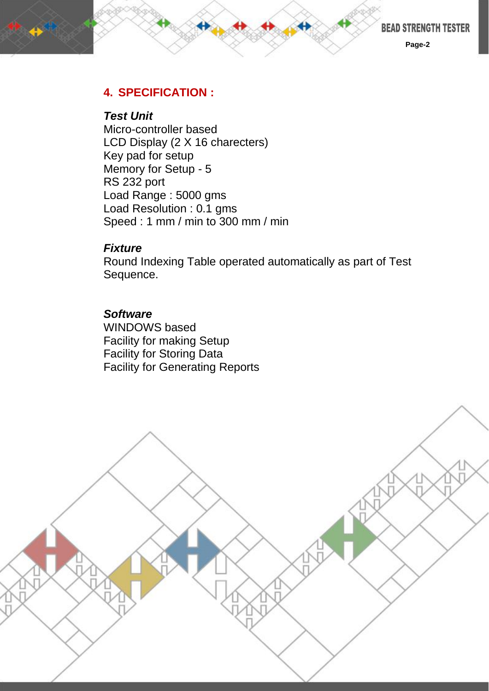

**Page-2**

#### **4. SPECIFICATION :**

#### *Test Unit*

Micro-controller based LCD Display (2 X 16 charecters) Key pad for setup Memory for Setup - 5 RS 232 port Load Range : 5000 gms Load Resolution : 0.1 gms Speed : 1 mm / min to 300 mm / min

#### *Fixture*

Round Indexing Table operated automatically as part of Test Sequence.

#### *Software*

WINDOWS based Facility for making Setup Facility for Storing Data Facility for Generating Reports